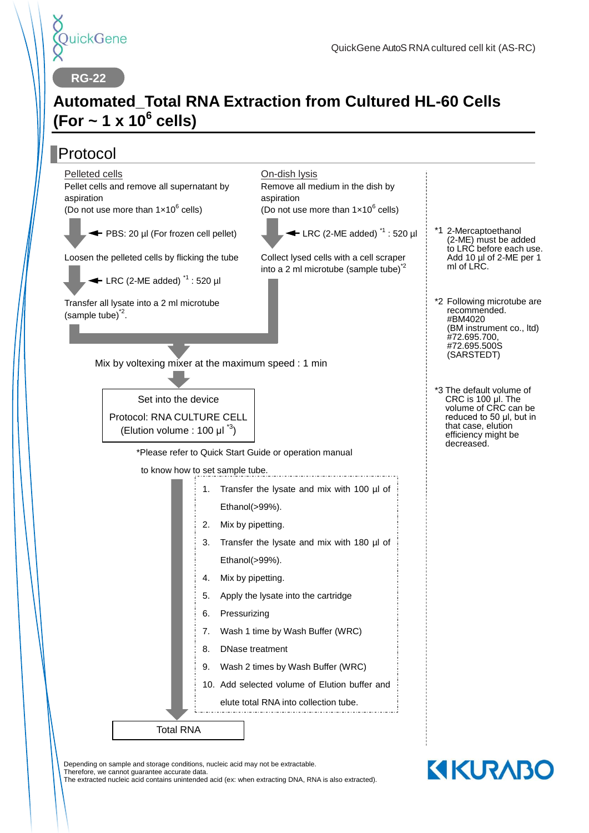

**KIKURABO** 

**RG-22**

## **Automated\_Total RNA Extraction from Cultured HL-60 Cells (For ~ 1 x 10<sup>6</sup> cells)**

#### Protocol Mix by voltexing mixer at the maximum speed : 1 min \*Please refer to Quick Start Guide or operation manual to know how to set sample tube. \*1 2-Mercaptoethanol \*2 Following microtube are \*3 The default volume of On-dish lysis Remove all medium in the dish by aspiration (Do not use more than  $1 \times 10^6$  cells)  $\blacktriangleleft$  LRC (2-ME added)<sup> $1$ </sup> : 520 ul Collect lysed cells with a cell scraper into a 2 ml microtube (sample tube) $2^2$ Pelleted cells Pellet cells and remove all supernatant by aspiration (Do not use more than  $1 \times 10^6$  cells) ← PBS: 20 ul (For frozen cell pellet) Loosen the pelleted cells by flicking the tube  $\leftarrow$  LRC (2-ME added)<sup> $1$ </sup> : 520 ul (2-ME) must be added to LRC before each use. Add 10 µl of 2-ME per 1 ml of LRC. CRC is 100 μl. The volume of CRC can be reduced to 50 μl, but in that case, elution efficiency might be decreased. Total RNA 1. Transfer the lysate and mix with 100 µl of Ethanol(>99%). 2. Mix by pipetting. 3. Transfer the lysate and mix with 180 µl of Ethanol(>99%). 4. Mix by pipetting. 5. Apply the lysate into the cartridge 6. Pressurizing 7. Wash 1 time by Wash Buffer (WRC) 8. DNase treatment 9. Wash 2 times by Wash Buffer (WRC) 10. Add selected volume of Elution buffer and elute total RNA into collection tube. Transfer all lysate into a 2 ml microtube  $(sample tube)^2$ . recommended. #BM4020 (BM instrument co., ltd) #72.695.700, #72.695.500S (SARSTEDT) Set into the device Protocol: RNA CULTURE CELL (Elution volume : 100  $\mu I^{3}$ )

Depending on sample and storage conditions, nucleic acid may not be extractable.

Therefore, we cannot guarantee accurate data.

The extracted nucleic acid contains unintended acid (ex: when extracting DNA, RNA is also extracted).